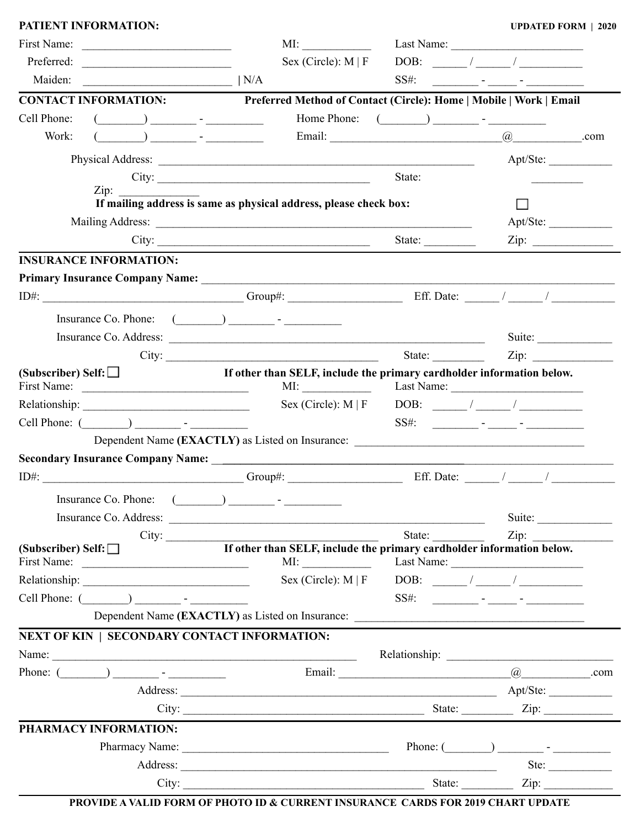|                                                                                                                                                                                                                                                                                                                                                                                                                                                                                            | MI:                                                                                                                                                                                                                                                                                                                                                 |                                                           |                                                                            |
|--------------------------------------------------------------------------------------------------------------------------------------------------------------------------------------------------------------------------------------------------------------------------------------------------------------------------------------------------------------------------------------------------------------------------------------------------------------------------------------------|-----------------------------------------------------------------------------------------------------------------------------------------------------------------------------------------------------------------------------------------------------------------------------------------------------------------------------------------------------|-----------------------------------------------------------|----------------------------------------------------------------------------|
| Preferred:                                                                                                                                                                                                                                                                                                                                                                                                                                                                                 | Sex (Circle): $M \mid F$                                                                                                                                                                                                                                                                                                                            |                                                           | $DOB:$ / /                                                                 |
| $\overline{\phantom{a}}$ $\overline{\phantom{a}}$ $\overline{\phantom{a}}$ $\overline{\phantom{a}}$ $\overline{\phantom{a}}$ $\overline{\phantom{a}}$ $\overline{\phantom{a}}$ $\overline{\phantom{a}}$ $\overline{\phantom{a}}$ $\overline{\phantom{a}}$ $\overline{\phantom{a}}$ $\overline{\phantom{a}}$ $\overline{\phantom{a}}$ $\overline{\phantom{a}}$ $\overline{\phantom{a}}$ $\overline{\phantom{a}}$ $\overline{\phantom{a}}$ $\overline{\phantom{a}}$ $\overline{\$<br>Maiden: |                                                                                                                                                                                                                                                                                                                                                     | $SS#$ :                                                   | <u> 1990 - Jan Barnett, film ann an t-Amerikaansk ferhandelse († 1901)</u> |
| <b>CONTACT INFORMATION:</b>                                                                                                                                                                                                                                                                                                                                                                                                                                                                | Preferred Method of Contact (Circle): Home   Mobile   Work   Email                                                                                                                                                                                                                                                                                  |                                                           |                                                                            |
| Cell Phone:                                                                                                                                                                                                                                                                                                                                                                                                                                                                                |                                                                                                                                                                                                                                                                                                                                                     |                                                           |                                                                            |
| Work:                                                                                                                                                                                                                                                                                                                                                                                                                                                                                      |                                                                                                                                                                                                                                                                                                                                                     |                                                           |                                                                            |
|                                                                                                                                                                                                                                                                                                                                                                                                                                                                                            |                                                                                                                                                                                                                                                                                                                                                     |                                                           | Apt/Ste:                                                                   |
|                                                                                                                                                                                                                                                                                                                                                                                                                                                                                            | City:                                                                                                                                                                                                                                                                                                                                               | State:                                                    |                                                                            |
| $\overline{\text{Zip: }}$                                                                                                                                                                                                                                                                                                                                                                                                                                                                  |                                                                                                                                                                                                                                                                                                                                                     |                                                           |                                                                            |
|                                                                                                                                                                                                                                                                                                                                                                                                                                                                                            | If mailing address is same as physical address, please check box:                                                                                                                                                                                                                                                                                   |                                                           |                                                                            |
|                                                                                                                                                                                                                                                                                                                                                                                                                                                                                            | Mailing Address:                                                                                                                                                                                                                                                                                                                                    |                                                           | Apt/Ste:                                                                   |
|                                                                                                                                                                                                                                                                                                                                                                                                                                                                                            | City: $\qquad \qquad \qquad$                                                                                                                                                                                                                                                                                                                        | State:                                                    | $\overline{\text{Zip: }}$                                                  |
| <b>INSURANCE INFORMATION:</b>                                                                                                                                                                                                                                                                                                                                                                                                                                                              |                                                                                                                                                                                                                                                                                                                                                     |                                                           |                                                                            |
|                                                                                                                                                                                                                                                                                                                                                                                                                                                                                            |                                                                                                                                                                                                                                                                                                                                                     |                                                           |                                                                            |
|                                                                                                                                                                                                                                                                                                                                                                                                                                                                                            | $ID#:$ Group#: Group#: Group#: Eff. Date: $\angle$                                                                                                                                                                                                                                                                                                  |                                                           |                                                                            |
|                                                                                                                                                                                                                                                                                                                                                                                                                                                                                            | Insurance Co. Phone: $(\_\_\_\_\_\_\_\_\$ -                                                                                                                                                                                                                                                                                                         |                                                           |                                                                            |
|                                                                                                                                                                                                                                                                                                                                                                                                                                                                                            |                                                                                                                                                                                                                                                                                                                                                     |                                                           | Suite:                                                                     |
|                                                                                                                                                                                                                                                                                                                                                                                                                                                                                            | City:                                                                                                                                                                                                                                                                                                                                               | State:                                                    | $\mathbf{Zip:}$                                                            |
| (Subscriber) Self: $\Box$                                                                                                                                                                                                                                                                                                                                                                                                                                                                  | If other than SELF, include the primary cardholder information below.                                                                                                                                                                                                                                                                               |                                                           |                                                                            |
|                                                                                                                                                                                                                                                                                                                                                                                                                                                                                            |                                                                                                                                                                                                                                                                                                                                                     | Sex (Circle): $M \mid F$ DOB: / /                         |                                                                            |
| Cell Phone: ( ) -                                                                                                                                                                                                                                                                                                                                                                                                                                                                          |                                                                                                                                                                                                                                                                                                                                                     |                                                           |                                                                            |
|                                                                                                                                                                                                                                                                                                                                                                                                                                                                                            |                                                                                                                                                                                                                                                                                                                                                     |                                                           |                                                                            |
|                                                                                                                                                                                                                                                                                                                                                                                                                                                                                            |                                                                                                                                                                                                                                                                                                                                                     |                                                           |                                                                            |
|                                                                                                                                                                                                                                                                                                                                                                                                                                                                                            |                                                                                                                                                                                                                                                                                                                                                     |                                                           |                                                                            |
| Insurance Co. Phone:                                                                                                                                                                                                                                                                                                                                                                                                                                                                       | $\begin{picture}(20,10) \put(0,0){\line(1,0){10}} \put(15,0){\line(1,0){10}} \put(15,0){\line(1,0){10}} \put(15,0){\line(1,0){10}} \put(15,0){\line(1,0){10}} \put(15,0){\line(1,0){10}} \put(15,0){\line(1,0){10}} \put(15,0){\line(1,0){10}} \put(15,0){\line(1,0){10}} \put(15,0){\line(1,0){10}} \put(15,0){\line(1,0){10}} \put(15,0){\line(1$ |                                                           |                                                                            |
|                                                                                                                                                                                                                                                                                                                                                                                                                                                                                            |                                                                                                                                                                                                                                                                                                                                                     |                                                           | Suite:                                                                     |
|                                                                                                                                                                                                                                                                                                                                                                                                                                                                                            | City:                                                                                                                                                                                                                                                                                                                                               | State: $\frac{1}{\sqrt{1-\frac{1}{2}} \cdot \frac{1}{2}}$ |                                                                            |
| (Subscriber) Self: $\Box$                                                                                                                                                                                                                                                                                                                                                                                                                                                                  | If other than SELF, include the primary cardholder information below.                                                                                                                                                                                                                                                                               |                                                           |                                                                            |
|                                                                                                                                                                                                                                                                                                                                                                                                                                                                                            |                                                                                                                                                                                                                                                                                                                                                     |                                                           |                                                                            |
|                                                                                                                                                                                                                                                                                                                                                                                                                                                                                            |                                                                                                                                                                                                                                                                                                                                                     |                                                           |                                                                            |
|                                                                                                                                                                                                                                                                                                                                                                                                                                                                                            |                                                                                                                                                                                                                                                                                                                                                     |                                                           |                                                                            |
| <b>NEXT OF KIN   SECONDARY CONTACT INFORMATION:</b>                                                                                                                                                                                                                                                                                                                                                                                                                                        |                                                                                                                                                                                                                                                                                                                                                     |                                                           |                                                                            |
|                                                                                                                                                                                                                                                                                                                                                                                                                                                                                            |                                                                                                                                                                                                                                                                                                                                                     |                                                           |                                                                            |
| Phone: $(\_\_)$ $\_\_$                                                                                                                                                                                                                                                                                                                                                                                                                                                                     |                                                                                                                                                                                                                                                                                                                                                     |                                                           |                                                                            |
|                                                                                                                                                                                                                                                                                                                                                                                                                                                                                            |                                                                                                                                                                                                                                                                                                                                                     |                                                           |                                                                            |
|                                                                                                                                                                                                                                                                                                                                                                                                                                                                                            |                                                                                                                                                                                                                                                                                                                                                     |                                                           |                                                                            |
| PHARMACY INFORMATION:                                                                                                                                                                                                                                                                                                                                                                                                                                                                      |                                                                                                                                                                                                                                                                                                                                                     |                                                           |                                                                            |
|                                                                                                                                                                                                                                                                                                                                                                                                                                                                                            |                                                                                                                                                                                                                                                                                                                                                     |                                                           |                                                                            |
|                                                                                                                                                                                                                                                                                                                                                                                                                                                                                            |                                                                                                                                                                                                                                                                                                                                                     |                                                           |                                                                            |
|                                                                                                                                                                                                                                                                                                                                                                                                                                                                                            |                                                                                                                                                                                                                                                                                                                                                     |                                                           | Ste: $\qquad \qquad$                                                       |

**PATIENT INFORMATION: UPDATED FORM | 2020**

**PROVIDE A VALID FORM OF PHOTO ID & CURRENT INSURANCE CARDS FOR 2019 CHART UPDATE**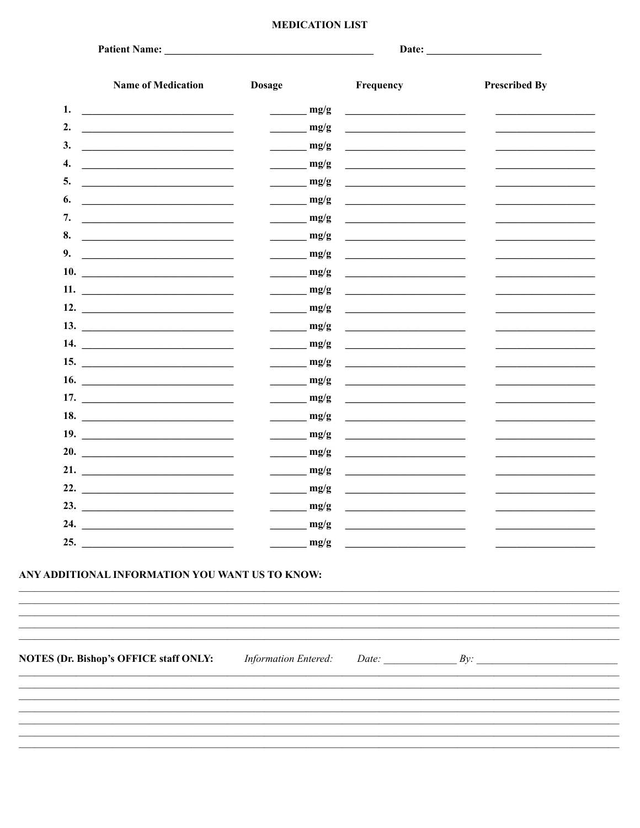# **MEDICATION LIST**

|     | <b>Name of Medication</b>                                                                                                                                                                                                            | <b>Dosage</b>               | Frequency                                                                                                                                                                                                                            | <b>Prescribed By</b> |
|-----|--------------------------------------------------------------------------------------------------------------------------------------------------------------------------------------------------------------------------------------|-----------------------------|--------------------------------------------------------------------------------------------------------------------------------------------------------------------------------------------------------------------------------------|----------------------|
| 1.  | <u> 1989 - Johann Stein, mars an deutscher Stein († 1958)</u>                                                                                                                                                                        | mg/g                        |                                                                                                                                                                                                                                      |                      |
| 2.  | <u> 1980 - Andrea Aonaich, ann an t-Èireann an t-Èireann an t-Èireann an t-Èireann an t-Èireann an t-Èireann an t-Èireann an t-Èireann an t-Èireann an t-Èireann an t-Èireann an t-Èireann an t-Èireann an t-Èireann an t-Èirean</u> | mg/g                        | <u> 1989 - Jan Stein Harry Stein Harry Stein Harry Stein Harry Stein Harry Stein Harry Stein Harry Stein Harry St</u>                                                                                                                |                      |
| 3.  | <u> 1980 - Jan Samuel Barbara, político establecente de la propia de la propia de la propia de la propia de la p</u>                                                                                                                 | mg/g                        | <u> 1989 - Andrea Station Books, amerikansk politiker (</u>                                                                                                                                                                          |                      |
| 4.  | <u> 1980 - Andrea Aonaich, ann an t-Èireann an t-Èireann an t-Èireann an t-Èireann an t-Èireann an t-Èireann an t-Èireann an t-Èireann an t-Èireann an t-Èireann an t-Èireann an t-Èireann an t-Èireann an t-Èireann an t-Èirean</u> | mg/g                        | <u> 1989 - Andrea Brand, amerikansk politik (</u>                                                                                                                                                                                    |                      |
| 5.  | <u> 1980 - Jan Stein Stein Stein Stein Stein Stein Stein Stein Stein Stein Stein Stein Stein Stein Stein Stein S</u>                                                                                                                 | mg/g                        |                                                                                                                                                                                                                                      |                      |
| 6.  |                                                                                                                                                                                                                                      | mg/g                        | <u> 1989 - John Stein, amerikansk politiker (</u>                                                                                                                                                                                    |                      |
| 7.  |                                                                                                                                                                                                                                      | mg/g                        |                                                                                                                                                                                                                                      |                      |
| 8.  |                                                                                                                                                                                                                                      | mg/g                        |                                                                                                                                                                                                                                      |                      |
| 9.  | <u> 1980 - Andrea Andrew Maria (h. 1980).</u>                                                                                                                                                                                        | mg/g                        |                                                                                                                                                                                                                                      |                      |
|     | 10.                                                                                                                                                                                                                                  | mg/g                        | <u> 1989 - Andrea State Barbara, amerikan per</u>                                                                                                                                                                                    |                      |
|     | 11.                                                                                                                                                                                                                                  | mg/g                        | <u> 1989 - Jan Barbara Barbara, prima prima prima prima prima prima prima prima prima prima prima prima prima pri</u>                                                                                                                |                      |
|     | 12. $\qquad \qquad$                                                                                                                                                                                                                  | mg/g                        | <u> 1989 - Jan Stein Stein Stein Stein Stein Stein Stein Stein Stein Stein Stein Stein Stein Stein Stein Stein S</u>                                                                                                                 |                      |
|     |                                                                                                                                                                                                                                      | mg/g                        | <u>and the control of the control of the control of the control of the control of the control of the control of the control of the control of the control of the control of the control of the control of the control of the con</u> |                      |
|     | 14.                                                                                                                                                                                                                                  | mg/g                        |                                                                                                                                                                                                                                      |                      |
|     |                                                                                                                                                                                                                                      | mg/g                        |                                                                                                                                                                                                                                      |                      |
|     | 16. $\qquad \qquad$                                                                                                                                                                                                                  | mg/g                        |                                                                                                                                                                                                                                      |                      |
|     |                                                                                                                                                                                                                                      | mg/g                        |                                                                                                                                                                                                                                      |                      |
|     | 18. $\qquad \qquad$                                                                                                                                                                                                                  | mg/g                        | <u> 1989 - Jan Stein Stein Stein Stein Stein Stein Stein Stein Stein Stein Stein Stein Stein Stein Stein Stein S</u>                                                                                                                 |                      |
|     | 19.                                                                                                                                                                                                                                  | mg/g                        |                                                                                                                                                                                                                                      |                      |
|     | 20. $\qquad \qquad$                                                                                                                                                                                                                  | mg/g                        | <u> 1980 - Jan Barbara Barbara, prima popula</u>                                                                                                                                                                                     |                      |
|     | 21. $\qquad \qquad$                                                                                                                                                                                                                  | mg/g                        | <u>and the state of the state of the state of the state of the state of the state of the state of the state of the state of the state of the state of the state of the state of the state of the state of the state of the state</u> |                      |
|     | 22. $\qquad \qquad$                                                                                                                                                                                                                  | mg/g                        |                                                                                                                                                                                                                                      |                      |
|     | 23. $\qquad \qquad$                                                                                                                                                                                                                  | mg/g                        |                                                                                                                                                                                                                                      |                      |
|     | 24. $\qquad \qquad$                                                                                                                                                                                                                  | mg/g                        |                                                                                                                                                                                                                                      |                      |
| 25. |                                                                                                                                                                                                                                      | mg/g                        |                                                                                                                                                                                                                                      |                      |
|     | ANY ADDITIONAL INFORMATION YOU WANT US TO KNOW:                                                                                                                                                                                      |                             |                                                                                                                                                                                                                                      |                      |
|     | <b>NOTES (Dr. Bishop's OFFICE staff ONLY:</b>                                                                                                                                                                                        | <b>Information Entered:</b> |                                                                                                                                                                                                                                      | Date: $By:$          |
|     |                                                                                                                                                                                                                                      |                             |                                                                                                                                                                                                                                      |                      |
|     |                                                                                                                                                                                                                                      |                             |                                                                                                                                                                                                                                      |                      |
|     |                                                                                                                                                                                                                                      |                             |                                                                                                                                                                                                                                      |                      |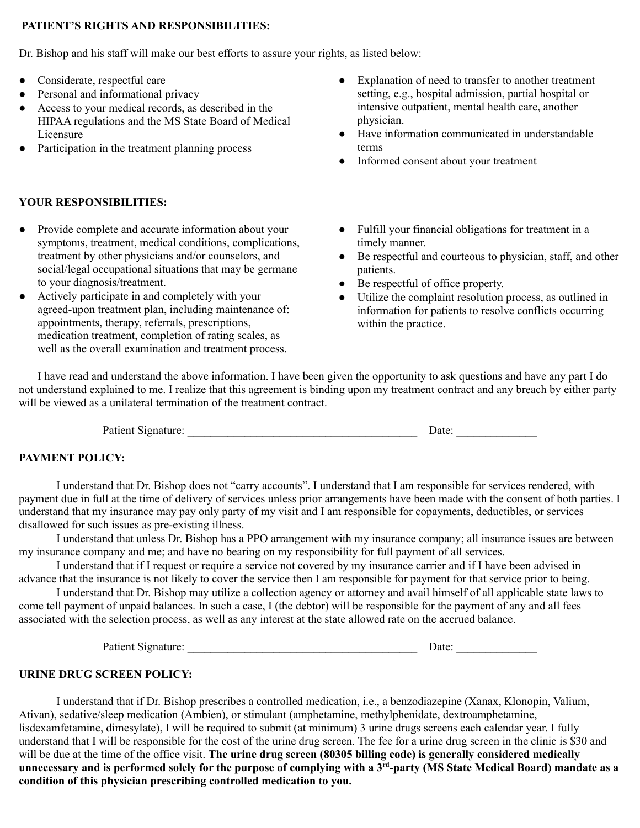# **PATIENT'S RIGHTS AND RESPONSIBILITIES:**

Dr. Bishop and his staff will make our best efforts to assure your rights, as listed below:

- Considerate, respectful care
- Personal and informational privacy
- Access to your medical records, as described in the HIPAA regulations and the MS State Board of Medical Licensure
- Participation in the treatment planning process

## **YOUR RESPONSIBILITIES:**

- Provide complete and accurate information about your symptoms, treatment, medical conditions, complications, treatment by other physicians and/or counselors, and social/legal occupational situations that may be germane to your diagnosis/treatment.
- Actively participate in and completely with your agreed-upon treatment plan, including maintenance of: appointments, therapy, referrals, prescriptions, medication treatment, completion of rating scales, as well as the overall examination and treatment process.
- Explanation of need to transfer to another treatment setting, e.g., hospital admission, partial hospital or intensive outpatient, mental health care, another physician.
- Have information communicated in understandable terms
- Informed consent about your treatment
- Fulfill your financial obligations for treatment in a timely manner.
- Be respectful and courteous to physician, staff, and other patients.
- Be respectful of office property.
- Utilize the complaint resolution process, as outlined in information for patients to resolve conflicts occurring within the practice.

I have read and understand the above information. I have been given the opportunity to ask questions and have any part I do not understand explained to me. I realize that this agreement is binding upon my treatment contract and any breach by either party will be viewed as a unilateral termination of the treatment contract.

Patient Signature: \_\_\_\_\_\_\_\_\_\_\_\_\_\_\_\_\_\_\_\_\_\_\_\_\_\_\_\_\_\_\_\_\_\_\_\_\_\_\_\_ Date: \_\_\_\_\_\_\_\_\_\_\_\_\_\_

## **PAYMENT POLICY:**

I understand that Dr. Bishop does not "carry accounts". I understand that I am responsible for services rendered, with payment due in full at the time of delivery of services unless prior arrangements have been made with the consent of both parties. I understand that my insurance may pay only party of my visit and I am responsible for copayments, deductibles, or services disallowed for such issues as pre-existing illness.

I understand that unless Dr. Bishop has a PPO arrangement with my insurance company; all insurance issues are between my insurance company and me; and have no bearing on my responsibility for full payment of all services.

I understand that if I request or require a service not covered by my insurance carrier and if I have been advised in advance that the insurance is not likely to cover the service then I am responsible for payment for that service prior to being.

I understand that Dr. Bishop may utilize a collection agency or attorney and avail himself of all applicable state laws to come tell payment of unpaid balances. In such a case, I (the debtor) will be responsible for the payment of any and all fees associated with the selection process, as well as any interest at the state allowed rate on the accrued balance.

Patient Signature: <br>
Date:

## **URINE DRUG SCREEN POLICY:**

I understand that if Dr. Bishop prescribes a controlled medication, i.e., a benzodiazepine (Xanax, Klonopin, Valium, Ativan), sedative/sleep medication (Ambien), or stimulant (amphetamine, methylphenidate, dextroamphetamine, lisdexamfetamine, dimesylate), I will be required to submit (at minimum) 3 urine drugs screens each calendar year. I fully understand that I will be responsible for the cost of the urine drug screen. The fee for a urine drug screen in the clinic is \$30 and will be due at the time of the office visit. **The urine drug screen (80305 billing code) is generally considered medically** unnecessary and is performed solely for the purpose of complying with a 3<sup>rd</sup>-party (MS State Medical Board) mandate as a **condition of this physician prescribing controlled medication to you.**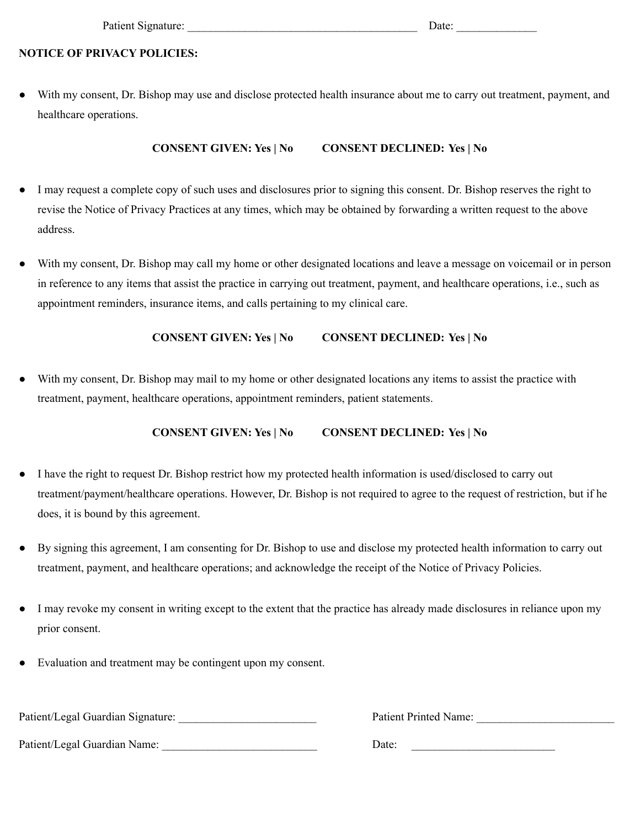# **NOTICE OF PRIVACY POLICIES:**

● With my consent, Dr. Bishop may use and disclose protected health insurance about me to carry out treatment, payment, and healthcare operations.

# **CONSENT GIVEN: Yes | No CONSENT DECLINED: Yes | No**

- I may request a complete copy of such uses and disclosures prior to signing this consent. Dr. Bishop reserves the right to revise the Notice of Privacy Practices at any times, which may be obtained by forwarding a written request to the above address.
- With my consent, Dr. Bishop may call my home or other designated locations and leave a message on voicemail or in person in reference to any items that assist the practice in carrying out treatment, payment, and healthcare operations, i.e., such as appointment reminders, insurance items, and calls pertaining to my clinical care.

# **CONSENT GIVEN: Yes | No CONSENT DECLINED: Yes | No**

With my consent, Dr. Bishop may mail to my home or other designated locations any items to assist the practice with treatment, payment, healthcare operations, appointment reminders, patient statements.

## **CONSENT GIVEN: Yes | No CONSENT DECLINED: Yes | No**

- **●** I have the right to request Dr. Bishop restrict how my protected health information is used/disclosed to carry out treatment/payment/healthcare operations. However, Dr. Bishop is not required to agree to the request of restriction, but if he does, it is bound by this agreement.
- By signing this agreement, I am consenting for Dr. Bishop to use and disclose my protected health information to carry out treatment, payment, and healthcare operations; and acknowledge the receipt of the Notice of Privacy Policies.
- I may revoke my consent in writing except to the extent that the practice has already made disclosures in reliance upon my prior consent.
- Evaluation and treatment may be contingent upon my consent.

Patient/Legal Guardian Signature: \_\_\_\_\_\_\_\_\_\_\_\_\_\_\_\_\_\_\_\_\_\_\_\_

Patient/Legal Guardian Name:

Patient Printed Name:

Date: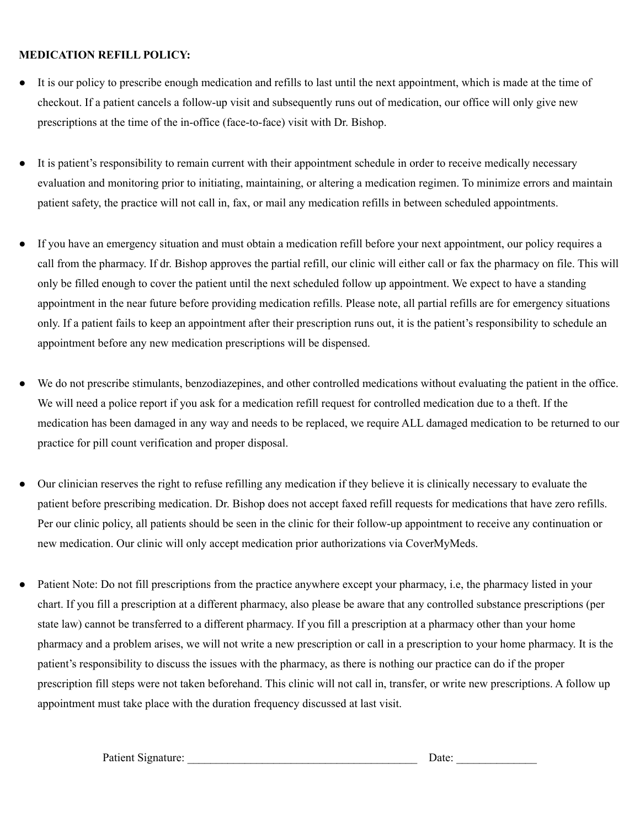# **MEDICATION REFILL POLICY:**

- It is our policy to prescribe enough medication and refills to last until the next appointment, which is made at the time of checkout. If a patient cancels a follow-up visit and subsequently runs out of medication, our office will only give new prescriptions at the time of the in-office (face-to-face) visit with Dr. Bishop.
- It is patient's responsibility to remain current with their appointment schedule in order to receive medically necessary evaluation and monitoring prior to initiating, maintaining, or altering a medication regimen. To minimize errors and maintain patient safety, the practice will not call in, fax, or mail any medication refills in between scheduled appointments.
- If you have an emergency situation and must obtain a medication refill before your next appointment, our policy requires a call from the pharmacy. If dr. Bishop approves the partial refill, our clinic will either call or fax the pharmacy on file. This will only be filled enough to cover the patient until the next scheduled follow up appointment. We expect to have a standing appointment in the near future before providing medication refills. Please note, all partial refills are for emergency situations only. If a patient fails to keep an appointment after their prescription runs out, it is the patient's responsibility to schedule an appointment before any new medication prescriptions will be dispensed.
- We do not prescribe stimulants, benzodiazepines, and other controlled medications without evaluating the patient in the office. We will need a police report if you ask for a medication refill request for controlled medication due to a theft. If the medication has been damaged in any way and needs to be replaced, we require ALL damaged medication to be returned to our practice for pill count verification and proper disposal.
- Our clinician reserves the right to refuse refilling any medication if they believe it is clinically necessary to evaluate the patient before prescribing medication. Dr. Bishop does not accept faxed refill requests for medications that have zero refills. Per our clinic policy, all patients should be seen in the clinic for their follow-up appointment to receive any continuation or new medication. Our clinic will only accept medication prior authorizations via CoverMyMeds.
- Patient Note: Do not fill prescriptions from the practice anywhere except your pharmacy, i.e, the pharmacy listed in your chart. If you fill a prescription at a different pharmacy, also please be aware that any controlled substance prescriptions (per state law) cannot be transferred to a different pharmacy. If you fill a prescription at a pharmacy other than your home pharmacy and a problem arises, we will not write a new prescription or call in a prescription to your home pharmacy. It is the patient's responsibility to discuss the issues with the pharmacy, as there is nothing our practice can do if the proper prescription fill steps were not taken beforehand. This clinic will not call in, transfer, or write new prescriptions. A follow up appointment must take place with the duration frequency discussed at last visit.

Patient Signature: \_\_\_\_\_\_\_\_\_\_\_\_\_\_\_\_\_\_\_\_\_\_\_\_\_\_\_\_\_\_\_\_\_\_\_\_\_\_\_\_ Date: \_\_\_\_\_\_\_\_\_\_\_\_\_\_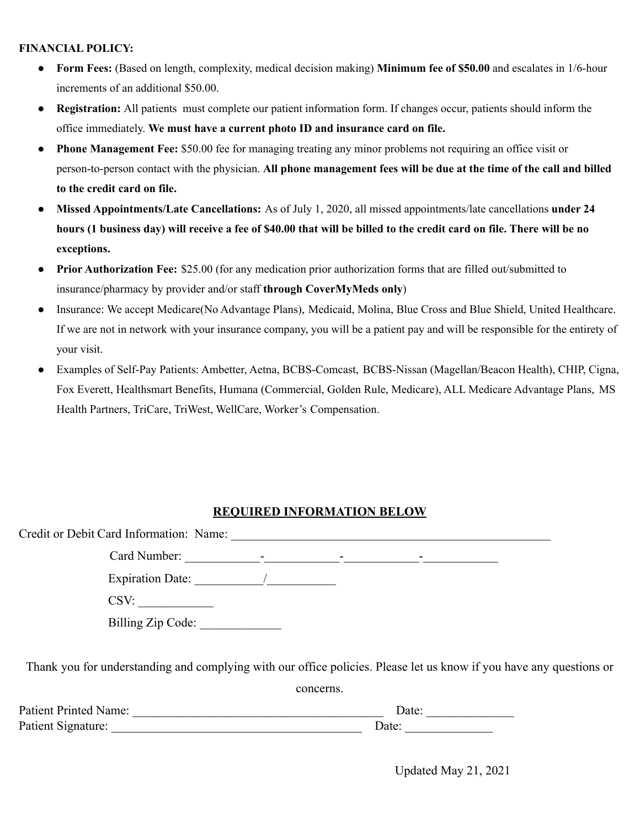# **FINANCIAL POLICY:**

- **● Form Fees:** (Based on length, complexity, medical decision making) **Minimum fee of \$50.00** and escalates in 1/6-hour increments of an additional \$50.00.
- **Registration:** All patients must complete our patient information form. If changes occur, patients should inform the office immediately. **We must have a current photo ID and insurance card on file.**
- **● Phone Management Fee:** \$50.00 fee for managing treating any minor problems not requiring an office visit or person-to-person contact with the physician. **All phone management fees will be due at the time of the call and billed to the credit card on file.**
- **● Missed Appointments/Late Cancellations:** As of July 1, 2020, all missed appointments/late cancellations **under 24** hours (1 business day) will receive a fee of \$40.00 that will be billed to the credit card on file. There will be no **exceptions.**
- **● Prior Authorization Fee:** \$25.00 (for any medication prior authorization forms that are filled out/submitted to insurance/pharmacy by provider and/or staff **through CoverMyMeds only**)
- **●** Insurance: We accept Medicare(No Advantage Plans), Medicaid, Molina, Blue Cross and Blue Shield, United Healthcare. If we are not in network with your insurance company, you will be a patient pay and will be responsible for the entirety of your visit.
- **●** Examples of Self-Pay Patients: Ambetter, Aetna, BCBS-Comcast, BCBS-Nissan (Magellan/Beacon Health), CHIP, Cigna, Fox Everett, Healthsmart Benefits, Humana (Commercial, Golden Rule, Medicare), ALL Medicare Advantage Plans, MS Health Partners, TriCare, TriWest, WellCare, Worker's Compensation.

# **REQUIRED INFORMATION BELOW**

| Credit or Debit Card Information: Name:                                                                             |           |       |  |
|---------------------------------------------------------------------------------------------------------------------|-----------|-------|--|
|                                                                                                                     |           |       |  |
| Expiration Date: $\frac{1}{\sqrt{1-\frac{1}{2}} \cdot \frac{1}{2}}$                                                 |           |       |  |
| CSV:                                                                                                                |           |       |  |
| Billing Zip Code:                                                                                                   |           |       |  |
| Thank you for understanding and complying with our office policies. Please let us know if you have any questions or |           |       |  |
|                                                                                                                     | concerns. |       |  |
| Patient Printed Name:                                                                                               |           | Date: |  |

Patient Signature: \_\_\_\_\_\_\_\_\_\_\_\_\_\_\_\_\_\_\_\_\_\_\_\_\_\_\_\_\_\_\_\_\_\_\_\_\_\_\_\_ Date: \_\_\_\_\_\_\_\_\_\_\_\_\_\_

Updated May 21, 2021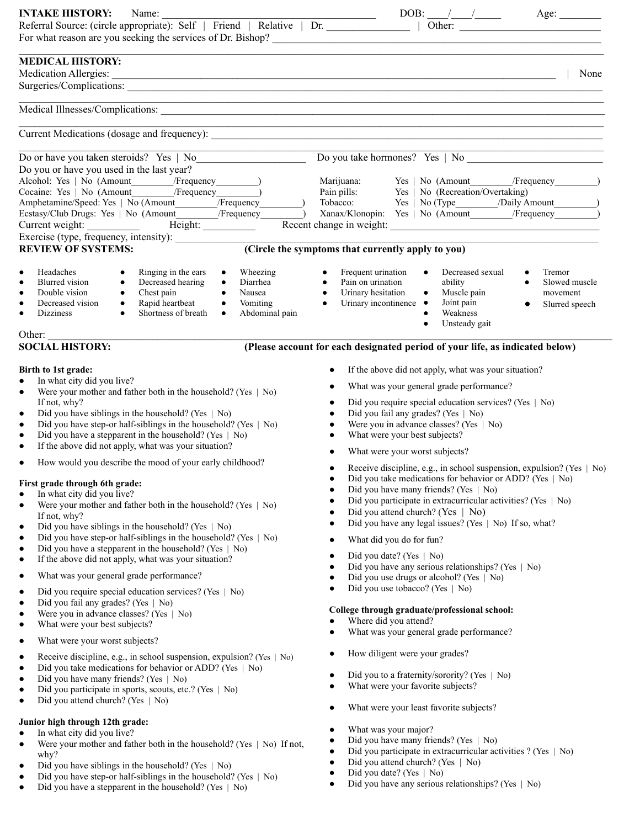| <b>INTAKE HISTORY:</b><br>Name:                                                                                                                                                                   |                                                                                                                             |
|---------------------------------------------------------------------------------------------------------------------------------------------------------------------------------------------------|-----------------------------------------------------------------------------------------------------------------------------|
|                                                                                                                                                                                                   |                                                                                                                             |
|                                                                                                                                                                                                   |                                                                                                                             |
| <b>MEDICAL HISTORY:</b>                                                                                                                                                                           |                                                                                                                             |
| Medication Allergies:                                                                                                                                                                             | <u> 1989 - Johann Stoff, fransk politik (d. 1989)</u><br>None                                                               |
|                                                                                                                                                                                                   |                                                                                                                             |
|                                                                                                                                                                                                   |                                                                                                                             |
|                                                                                                                                                                                                   |                                                                                                                             |
|                                                                                                                                                                                                   |                                                                                                                             |
|                                                                                                                                                                                                   |                                                                                                                             |
| Do or have you taken steroids? Yes   No                                                                                                                                                           |                                                                                                                             |
| Do you or have you used in the last year?                                                                                                                                                         |                                                                                                                             |
| Alcohol: Yes   No (Amount /Frequency / 1994)                                                                                                                                                      |                                                                                                                             |
| Cocaine: Yes   No (Amount / Frequency )                                                                                                                                                           |                                                                                                                             |
|                                                                                                                                                                                                   | Xanax/Klonopin: Yes   No (Amount / Frequency                                                                                |
|                                                                                                                                                                                                   |                                                                                                                             |
|                                                                                                                                                                                                   |                                                                                                                             |
| <b>REVIEW OF SYSTEMS:</b>                                                                                                                                                                         | (Circle the symptoms that currently apply to you)                                                                           |
|                                                                                                                                                                                                   |                                                                                                                             |
| Headaches<br>Ringing in the ears<br>Wheezing<br>$\bullet$<br>$\bullet$<br>$\bullet$<br><b>Blurred</b> vision<br>Decreased hearing<br>$\bullet$<br>Diarrhea<br>$\bullet$<br>$\bullet$<br>$\bullet$ | Decreased sexual<br>Frequent urination<br>Tremor<br>$\bullet$<br>Pain on urination<br>ability<br>Slowed muscle<br>$\bullet$ |
| Nausea<br>Double vision<br>Chest pain<br>Rapid heartbeat<br>$\bullet$<br>$\bullet$<br>$\bullet$                                                                                                   | $\bullet$ Muscle pain<br>Urinary hesitation<br>movement                                                                     |
| Decreased vision<br>Vomiting<br>$\bullet$<br>$\bullet$<br>$\bullet$<br>$\bullet$<br>Shortness of breath                                                                                           | Joint pain<br>Urinary incontinence •<br>$\bullet$<br>Slurred speech                                                         |
| Abdominal pain<br><b>Dizziness</b><br>$\bullet$<br>$\bullet$<br>$\bullet$                                                                                                                         | Weakness<br>Unsteady gait<br>$\bullet$                                                                                      |
| Other: $\qquad \qquad$                                                                                                                                                                            |                                                                                                                             |
| <b>SOCIAL HISTORY:</b>                                                                                                                                                                            | (Please account for each designated period of your life, as indicated below)                                                |
|                                                                                                                                                                                                   |                                                                                                                             |
| Birth to 1st grade:<br>In what city did you live?<br>$\bullet$                                                                                                                                    | If the above did not apply, what was your situation?<br>$\bullet$                                                           |
| Were your mother and father both in the household? (Yes   No)<br>$\bullet$                                                                                                                        | What was your general grade performance?<br>$\bullet$                                                                       |
| If not, why?                                                                                                                                                                                      | Did you require special education services? (Yes   No)<br>$\bullet$                                                         |
| Did you have siblings in the household? (Yes $\mid$ No)<br>$\bullet$                                                                                                                              | Did you fail any grades? (Yes   No)<br>$\bullet$                                                                            |
| Did you have step-or half-siblings in the household? (Yes   No)<br>$\bullet$<br>Did you have a stepparent in the household? (Yes   No)<br>$\bullet$                                               | Were you in advance classes? (Yes   No)<br>What were your best subjects?<br>$\bullet$                                       |
| If the above did not apply, what was your situation?<br>$\bullet$                                                                                                                                 |                                                                                                                             |
| How would you describe the mood of your early childhood?<br>$\bullet$                                                                                                                             | What were your worst subjects?                                                                                              |
|                                                                                                                                                                                                   | Receive discipline, e.g., in school suspension, expulsion? (Yes   No)<br>$\bullet$                                          |
| First grade through 6th grade:                                                                                                                                                                    | Did you take medications for behavior or ADD? (Yes   No)<br>٠<br>Did you have many friends? (Yes   No)                      |
| In what city did you live?<br>Were your mother and father both in the household? (Yes $\mid$ No)<br>$\bullet$                                                                                     | Did you participate in extracurricular activities? (Yes   No)                                                               |
| If not, why?                                                                                                                                                                                      | Did you attend church? (Yes   No)                                                                                           |
| Did you have siblings in the household? (Yes $\mid$ No)<br>$\bullet$                                                                                                                              | Did you have any legal issues? (Yes   No) If so, what?<br>$\bullet$                                                         |
| Did you have step-or half-siblings in the household? (Yes   No)<br>$\bullet$                                                                                                                      | What did you do for fun?<br>$\bullet$                                                                                       |
| Did you have a stepparent in the household? (Yes $\mid$ No)<br>$\bullet$<br>If the above did not apply, what was your situation?<br>$\bullet$                                                     | Did you date? (Yes   No)<br>$\bullet$                                                                                       |
| What was your general grade performance?                                                                                                                                                          | Did you have any serious relationships? (Yes   No)                                                                          |
| $\bullet$                                                                                                                                                                                         | Did you use drugs or alcohol? (Yes   No)<br>٠<br>Did you use tobacco? (Yes   No)                                            |
| Did you require special education services? (Yes   No)<br>$\bullet$<br>Did you fail any grades? (Yes   No)<br>$\bullet$                                                                           |                                                                                                                             |
| Were you in advance classes? (Yes   No)<br>$\bullet$                                                                                                                                              | College through graduate/professional school:                                                                               |
| What were your best subjects?<br>$\bullet$                                                                                                                                                        | Where did you attend?                                                                                                       |
| What were your worst subjects?<br>٠                                                                                                                                                               | What was your general grade performance?                                                                                    |
| Receive discipline, e.g., in school suspension, expulsion? (Yes   No)<br>$\bullet$                                                                                                                | How diligent were your grades?                                                                                              |
| Did you take medications for behavior or ADD? (Yes   No)<br>$\bullet$                                                                                                                             |                                                                                                                             |
| Did you have many friends? (Yes   No)<br>$\bullet$                                                                                                                                                | Did you to a fraternity/sorority? (Yes   No)<br>$\bullet$<br>What were your favorite subjects?                              |
| Did you participate in sports, scouts, etc.? (Yes   No)<br>$\bullet$                                                                                                                              | $\bullet$                                                                                                                   |
| Did you attend church? (Yes   No)<br>$\bullet$                                                                                                                                                    | What were your least favorite subjects?<br>٠                                                                                |
| Junior high through 12th grade:                                                                                                                                                                   |                                                                                                                             |
| In what city did you live?<br>$\bullet$                                                                                                                                                           | What was your major?<br>$\bullet$<br>Did you have many friends? (Yes   No)<br>٠                                             |
| Were your mother and father both in the household? (Yes $\mid$ No) If not,<br>$\bullet$                                                                                                           | Did you participate in extracurricular activities ? (Yes   No)                                                              |
| why?<br>Did you have siblings in the household? (Yes $\mid$ No)                                                                                                                                   | Did you attend church? (Yes   No)<br>٠                                                                                      |
| Did you have step-or half-siblings in the household? (Ves $\Box$ No)                                                                                                                              | Did you date? (Yes   No)<br>$\bullet$                                                                                       |

• Did you have any serious relationships? (Yes | No)

- Did you have step-or half-siblings in the household? (Yes | No)
- Did you have a stepparent in the household? (Yes | No)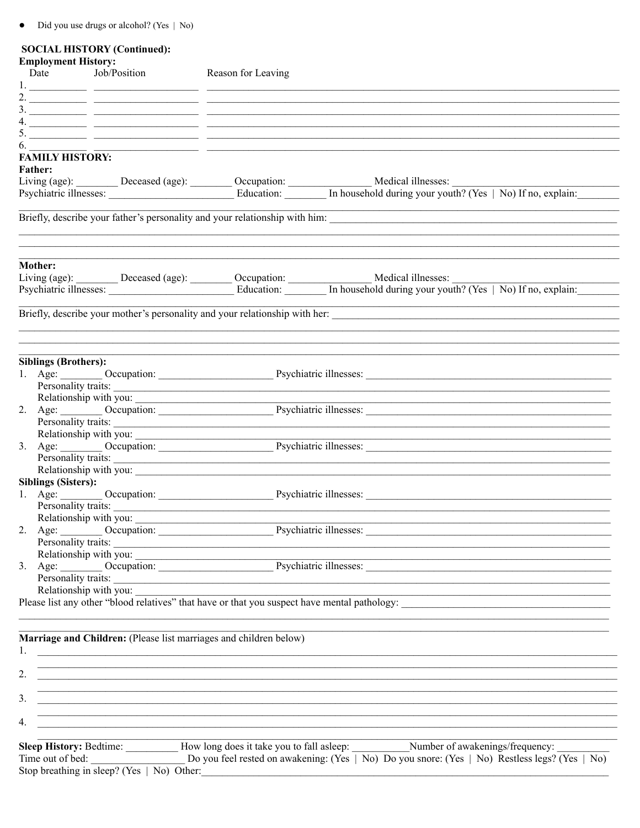$\bullet$  Did you use drugs or alcohol? (Yes  $\mid$  No)

# **SOCIAL HISTORY (Continued):**

| Date                        | <b>Employment History:</b><br>Job/Position                        | Reason for Leaving                                                                                                                                                                                                            |
|-----------------------------|-------------------------------------------------------------------|-------------------------------------------------------------------------------------------------------------------------------------------------------------------------------------------------------------------------------|
|                             |                                                                   |                                                                                                                                                                                                                               |
|                             |                                                                   |                                                                                                                                                                                                                               |
|                             |                                                                   |                                                                                                                                                                                                                               |
|                             |                                                                   |                                                                                                                                                                                                                               |
|                             |                                                                   |                                                                                                                                                                                                                               |
|                             |                                                                   | 0.<br>FAMILY HISTORY:                                                                                                                                                                                                         |
| <b>Father:</b>              |                                                                   |                                                                                                                                                                                                                               |
|                             |                                                                   |                                                                                                                                                                                                                               |
|                             |                                                                   | Living (age): Deceased (age): Occupation: Medical illnesses: Medical illnesses: Medical illnesses: No If no, explain:                                                                                                         |
|                             |                                                                   |                                                                                                                                                                                                                               |
|                             |                                                                   |                                                                                                                                                                                                                               |
|                             |                                                                   |                                                                                                                                                                                                                               |
|                             |                                                                   |                                                                                                                                                                                                                               |
| <b>Mother:</b>              |                                                                   |                                                                                                                                                                                                                               |
|                             |                                                                   | Living (age): Deceased (age): Occupation: Medical illnesses: Medical illnesses: Medical illnesses: Notified by the Sychiatric illnesses: Notified by The Sychiatric illnesses: Medical is explain: Medical illnesses: Medical |
|                             |                                                                   |                                                                                                                                                                                                                               |
|                             |                                                                   |                                                                                                                                                                                                                               |
|                             |                                                                   |                                                                                                                                                                                                                               |
|                             |                                                                   |                                                                                                                                                                                                                               |
|                             |                                                                   |                                                                                                                                                                                                                               |
| <b>Siblings (Brothers):</b> |                                                                   |                                                                                                                                                                                                                               |
|                             |                                                                   | 1. Age: Occupation: Decupation: Psychiatric illnesses: Decomposition: 0.000 Psychiatric illnesses:                                                                                                                            |
|                             |                                                                   | Personality traits:                                                                                                                                                                                                           |
|                             |                                                                   |                                                                                                                                                                                                                               |
|                             |                                                                   |                                                                                                                                                                                                                               |
|                             |                                                                   | Personality traits:                                                                                                                                                                                                           |
|                             |                                                                   |                                                                                                                                                                                                                               |
|                             |                                                                   | Personality traits:                                                                                                                                                                                                           |
|                             |                                                                   | Relationship with you:                                                                                                                                                                                                        |
|                             | <b>Siblings (Sisters):</b>                                        |                                                                                                                                                                                                                               |
|                             |                                                                   | 1. Age: Occupation: Decupation: Psychiatric illnesses: Decay and Age: Decupation: Decision: Decision: Decision                                                                                                                |
|                             |                                                                   |                                                                                                                                                                                                                               |
|                             |                                                                   |                                                                                                                                                                                                                               |
|                             |                                                                   |                                                                                                                                                                                                                               |
|                             |                                                                   | Personality traits:                                                                                                                                                                                                           |
|                             |                                                                   |                                                                                                                                                                                                                               |
|                             |                                                                   |                                                                                                                                                                                                                               |
|                             |                                                                   | Personality traits:                                                                                                                                                                                                           |
|                             |                                                                   | Relationship with you:<br>Please list any other "blood relatives" that have or that you suspect have mental pathology:                                                                                                        |
|                             |                                                                   |                                                                                                                                                                                                                               |
|                             |                                                                   |                                                                                                                                                                                                                               |
|                             | Marriage and Children: (Please list marriages and children below) |                                                                                                                                                                                                                               |
|                             |                                                                   |                                                                                                                                                                                                                               |
| 2.                          |                                                                   |                                                                                                                                                                                                                               |
|                             |                                                                   |                                                                                                                                                                                                                               |
| 3.                          |                                                                   |                                                                                                                                                                                                                               |
|                             |                                                                   |                                                                                                                                                                                                                               |
| 4.                          |                                                                   |                                                                                                                                                                                                                               |
|                             |                                                                   |                                                                                                                                                                                                                               |
|                             |                                                                   | Sleep History: Bedtime: ___________ How long does it take you to fall asleep: ___________ Number of awakenings/frequency:                                                                                                     |
|                             |                                                                   | Time out of bed: Do you feel rested on awakening: (Yes   No) Do you snore: (Yes   No) Restless legs? (Yes   No)                                                                                                               |
|                             | Stop breathing in sleep? (Yes   No) Other:                        |                                                                                                                                                                                                                               |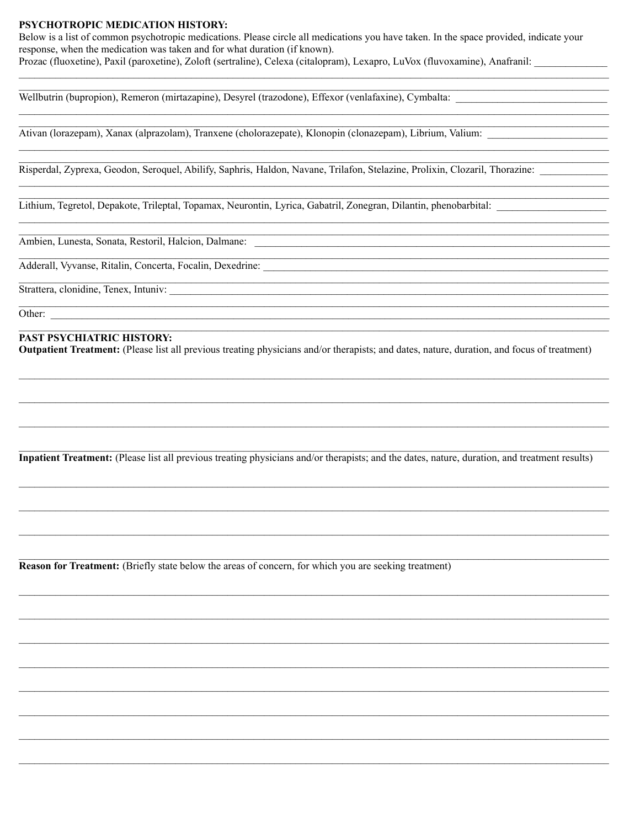#### **PSYCHOTROPIC MEDICATION HISTORY:**

Below is a list of common psychotropic medications. Please circle all medications you have taken. In the space provided, indicate your response, when the medication was taken and for what duration (if known). Prozac (fluoxetine), Paxil (paroxetine), Zoloft (sertraline), Celexa (citalopram), Lexapro, LuVox (fluvoxamine), Anafranil:

Wellbutrin (bupropion), Remeron (mirtazapine), Desyrel (trazodone), Effexor (venlafaxine), Cymbalta:

Ativan (lorazepam), Xanax (alprazolam), Tranxene (cholorazepate), Klonopin (clonazepam), Librium, Valium:

Risperdal, Zyprexa, Geodon, Seroquel, Abilify, Saphris, Haldon, Navane, Trilafon, Stelazine, Prolixin, Clozaril, Thorazine:

Lithium, Tegretol, Depakote, Trileptal, Topamax, Neurontin, Lyrica, Gabatril, Zonegran, Dilantin, phenobarbital:

Ambien, Lunesta, Sonata, Restoril, Halcion, Dalmane:

Adderall, Vyvanse, Ritalin, Concerta, Focalin, Dexedrine:

Strattera, clonidine, Tenex, Intuniv:

Other:

#### **PAST PSYCHIATRIC HISTORY:**

**Outpatient Treatment:** (Please list all previous treating physicians and/or therapists; and dates, nature, duration, and focus of treatment)

Inpatient Treatment: (Please list all previous treating physicians and/or therapists; and the dates, nature, duration, and treatment results)

**Reason for Treatment:** (Briefly state below the areas of concern, for which you are seeking treatment)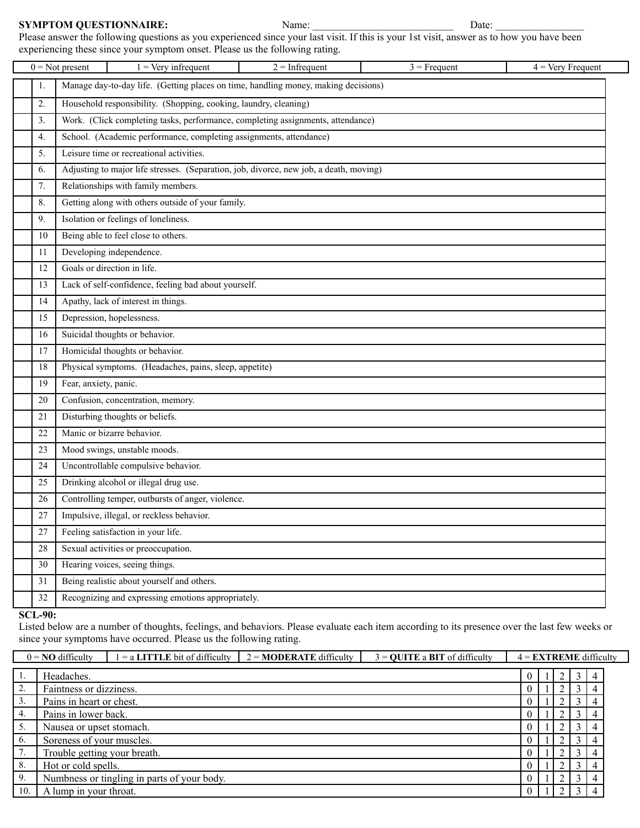#### **SYMPTOM QUESTIONNAIRE:** Name: \_\_\_\_\_\_\_\_\_\_\_\_\_\_\_\_\_\_\_\_\_\_ Date:

Please answer the following questions as you experienced since your last visit. If this is your 1st visit, answer as to how you have been experiencing these since your symptom onset. Please us the following rating.

|        | $1 = \text{Very infrequent}$<br>$2 = Infrequent$<br>$0 = Not present$<br>$3$ = Frequent<br>$4 = \text{Very }$ Frequent |  |  |  |  |  |  |  |  |
|--------|------------------------------------------------------------------------------------------------------------------------|--|--|--|--|--|--|--|--|
| 1.     | Manage day-to-day life. (Getting places on time, handling money, making decisions)                                     |  |  |  |  |  |  |  |  |
| 2.     | Household responsibility. (Shopping, cooking, laundry, cleaning)                                                       |  |  |  |  |  |  |  |  |
| 3.     | Work. (Click completing tasks, performance, completing assignments, attendance)                                        |  |  |  |  |  |  |  |  |
| 4.     | School. (Academic performance, completing assignments, attendance)                                                     |  |  |  |  |  |  |  |  |
| 5.     | Leisure time or recreational activities.                                                                               |  |  |  |  |  |  |  |  |
| 6.     | Adjusting to major life stresses. (Separation, job, divorce, new job, a death, moving)                                 |  |  |  |  |  |  |  |  |
| 7.     | Relationships with family members.                                                                                     |  |  |  |  |  |  |  |  |
| 8.     | Getting along with others outside of your family.                                                                      |  |  |  |  |  |  |  |  |
| 9.     | Isolation or feelings of loneliness.                                                                                   |  |  |  |  |  |  |  |  |
| 10     | Being able to feel close to others.                                                                                    |  |  |  |  |  |  |  |  |
| 11     | Developing independence.                                                                                               |  |  |  |  |  |  |  |  |
| 12     | Goals or direction in life.                                                                                            |  |  |  |  |  |  |  |  |
| 13     | Lack of self-confidence, feeling bad about yourself.                                                                   |  |  |  |  |  |  |  |  |
| 14     | Apathy, lack of interest in things.                                                                                    |  |  |  |  |  |  |  |  |
| 15     | Depression, hopelessness.                                                                                              |  |  |  |  |  |  |  |  |
| 16     | Suicidal thoughts or behavior.                                                                                         |  |  |  |  |  |  |  |  |
| 17     | Homicidal thoughts or behavior.                                                                                        |  |  |  |  |  |  |  |  |
| 18     | Physical symptoms. (Headaches, pains, sleep, appetite)                                                                 |  |  |  |  |  |  |  |  |
| 19     | Fear, anxiety, panic.                                                                                                  |  |  |  |  |  |  |  |  |
| 20     | Confusion, concentration, memory.                                                                                      |  |  |  |  |  |  |  |  |
| 21     | Disturbing thoughts or beliefs.                                                                                        |  |  |  |  |  |  |  |  |
| 22     | Manic or bizarre behavior.                                                                                             |  |  |  |  |  |  |  |  |
| 23     | Mood swings, unstable moods.                                                                                           |  |  |  |  |  |  |  |  |
| 24     | Uncontrollable compulsive behavior.                                                                                    |  |  |  |  |  |  |  |  |
| 25     | Drinking alcohol or illegal drug use.                                                                                  |  |  |  |  |  |  |  |  |
| 26     | Controlling temper, outbursts of anger, violence.                                                                      |  |  |  |  |  |  |  |  |
| 27     | Impulsive, illegal, or reckless behavior.                                                                              |  |  |  |  |  |  |  |  |
| $27\,$ | Feeling satisfaction in your life.                                                                                     |  |  |  |  |  |  |  |  |
| 28     | Sexual activities or preoccupation.                                                                                    |  |  |  |  |  |  |  |  |
| 30     | Hearing voices, seeing things.                                                                                         |  |  |  |  |  |  |  |  |
| 31     | Being realistic about yourself and others.                                                                             |  |  |  |  |  |  |  |  |
| 32     | Recognizing and expressing emotions appropriately.                                                                     |  |  |  |  |  |  |  |  |

#### **SCL-90:**

Listed below are a number of thoughts, feelings, and behaviors. Please evaluate each item according to its presence over the last few weeks or since your symptoms have occurred. Please us the following rating.

|                     | $0 = \text{NO}$ difficulty<br>$=$ a LITTLE bit of difficulty<br>$2 = \text{MODE}$ RATE difficulty<br>$3 =$ QUITE a BIT of difficulty<br>$4 = EXTREME$ difficulty |                                             |  |  |  |  |  |  |  |
|---------------------|------------------------------------------------------------------------------------------------------------------------------------------------------------------|---------------------------------------------|--|--|--|--|--|--|--|
| 1.                  | Headaches.                                                                                                                                                       |                                             |  |  |  |  |  |  |  |
| $\mathcal{D}$<br>۷. | Faintness or dizziness.                                                                                                                                          |                                             |  |  |  |  |  |  |  |
|                     | Pains in heart or chest.                                                                                                                                         |                                             |  |  |  |  |  |  |  |
| 4.                  | Pains in lower back.                                                                                                                                             |                                             |  |  |  |  |  |  |  |
| 5.                  | Nausea or upset stomach.                                                                                                                                         |                                             |  |  |  |  |  |  |  |
| 6.                  | Soreness of your muscles.                                                                                                                                        |                                             |  |  |  |  |  |  |  |
|                     | Trouble getting your breath.                                                                                                                                     |                                             |  |  |  |  |  |  |  |
| 8.                  | Hot or cold spells.                                                                                                                                              |                                             |  |  |  |  |  |  |  |
| 9.                  |                                                                                                                                                                  | Numbness or tingling in parts of your body. |  |  |  |  |  |  |  |
| 10.                 | A lump in your throat.                                                                                                                                           |                                             |  |  |  |  |  |  |  |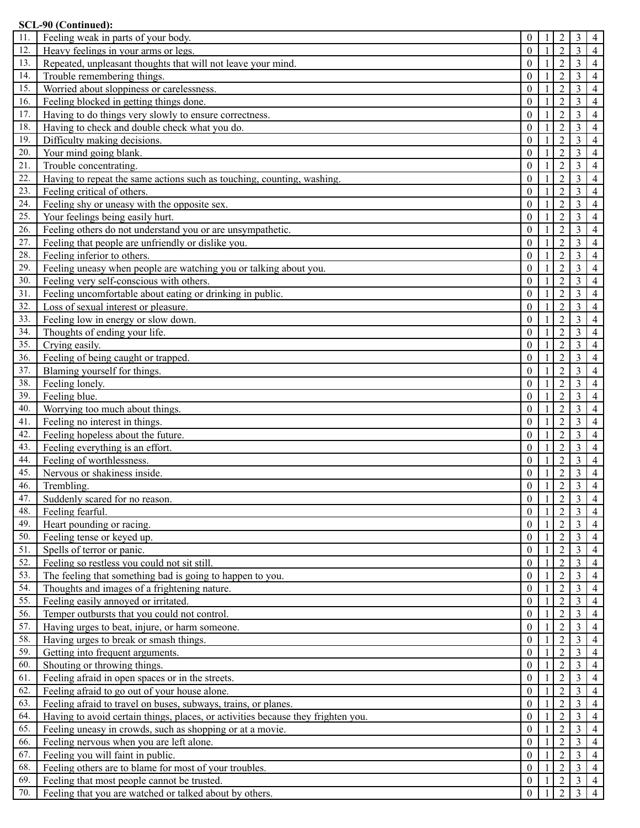|            | SCL-90 (Continued):                                                                  |                      |    |                                  |                                  |                                  |
|------------|--------------------------------------------------------------------------------------|----------------------|----|----------------------------------|----------------------------------|----------------------------------|
| 11.        | Feeling weak in parts of your body.                                                  | 0                    |    | $\overline{2}$                   | 3                                | $\overline{4}$                   |
| 12.        | Heavy feelings in your arms or legs.                                                 | $\Omega$             | -1 | $\overline{2}$                   | $\overline{3}$                   | $\overline{4}$                   |
| 13.        | Repeated, unpleasant thoughts that will not leave your mind.                         | $\theta$             |    | $\overline{2}$                   | 3                                | $\overline{4}$                   |
| 14.        | Trouble remembering things.                                                          | $\theta$             |    | $\overline{2}$                   | 3                                | $\overline{4}$                   |
| 15.        | Worried about sloppiness or carelessness.                                            | $\theta$             |    | $\overline{2}$                   | 3                                | $\overline{4}$                   |
| 16.        | Feeling blocked in getting things done.                                              | $\theta$             |    | $\overline{2}$                   | 3                                | $\overline{4}$                   |
| 17.        | Having to do things very slowly to ensure correctness.                               | $\theta$             |    | $\overline{2}$                   | 3                                | $\overline{4}$                   |
| 18.        | Having to check and double check what you do.                                        | $\theta$             |    | $\overline{2}$                   | 3                                | $\overline{4}$                   |
| 19.        | Difficulty making decisions.                                                         | $\theta$             |    | $\overline{2}$                   | 3                                | $\overline{4}$                   |
| 20.        | Your mind going blank.                                                               | $\theta$             |    | $\overline{2}$                   | 3                                | $\overline{4}$                   |
| 21.        | Trouble concentrating.                                                               | $\theta$             |    | $\overline{2}$                   | $\overline{3}$                   | $\overline{4}$                   |
| 22.        | Having to repeat the same actions such as touching, counting, washing.               | $\theta$             |    | $\overline{2}$                   | 3                                | $\overline{4}$                   |
| 23.        | Feeling critical of others.                                                          | $\Omega$             |    | $\overline{2}$                   | 3                                | $\overline{4}$                   |
| 24.        | Feeling shy or uneasy with the opposite sex.                                         | $\Omega$             |    | $\overline{2}$                   | 3                                | 4                                |
| 25.        | Your feelings being easily hurt.                                                     | $\theta$             |    | $\overline{2}$                   | 3                                | 4                                |
| 26.        | Feeling others do not understand you or are unsympathetic.                           | $\theta$             |    | $\overline{2}$                   | 3                                | 4                                |
| 27.        | Feeling that people are unfriendly or dislike you.                                   | $\theta$             |    | $\overline{2}$                   | 3                                | 4                                |
| 28.        | Feeling inferior to others.                                                          | $\theta$             |    | $\overline{2}$                   | 3                                | 4                                |
| 29.        | Feeling uneasy when people are watching you or talking about you.                    | $\theta$             |    | $\overline{2}$                   | 3                                | 4                                |
| 30.        | Feeling very self-conscious with others.                                             | $\theta$             |    | $\overline{2}$                   | 3                                | $\overline{4}$                   |
| 31.        | Feeling uncomfortable about eating or drinking in public.                            | $\theta$             |    | $\overline{2}$                   | 3                                | $\overline{4}$                   |
| 32.        | Loss of sexual interest or pleasure.                                                 | $\theta$             |    | $\overline{2}$                   | 3                                | $\overline{4}$                   |
| 33.        | Feeling low in energy or slow down.                                                  | $\theta$             |    | $\overline{2}$                   | 3                                | $\overline{4}$                   |
| 34.        | Thoughts of ending your life.                                                        | $\Omega$             |    | $\overline{2}$                   | 3                                | $\overline{4}$                   |
| 35.        | Crying easily.                                                                       | $\Omega$             |    | $\overline{2}$                   | 3                                | $\overline{4}$                   |
| 36.        | Feeling of being caught or trapped.                                                  | $\Omega$             |    | $\overline{2}$                   | 3                                | $\overline{4}$                   |
| 37.        | Blaming yourself for things.                                                         | $\theta$             |    | $\overline{2}$                   | 3                                | $\overline{4}$                   |
| 38.        | Feeling lonely.                                                                      | $\Omega$             |    | $\overline{2}$                   | 3                                | $\overline{4}$                   |
| 39.        | Feeling blue.                                                                        | $\theta$             |    | $\overline{2}$                   | 3                                | 4                                |
| 40.        | Worrying too much about things.                                                      | $\theta$             |    | $\overline{2}$                   | 3                                | $\overline{4}$                   |
| 41.        | Feeling no interest in things.                                                       | $\theta$             |    | $\overline{2}$                   | 3                                | 4                                |
| 42.        | Feeling hopeless about the future.                                                   | $\theta$             |    | $\overline{2}$                   | 3                                | $\overline{4}$                   |
| 43.        | Feeling everything is an effort.                                                     | $\theta$             |    | $\overline{2}$                   | 3                                | $\overline{4}$                   |
| 44.        | Feeling of worthlessness.                                                            | $\theta$             |    | $\overline{2}$                   | 3                                | $\overline{4}$                   |
| 45.        | Nervous or shakiness inside.                                                         | $\theta$             |    | $\overline{2}$                   | $\mathfrak{Z}$                   | $\overline{4}$                   |
| 46.        | Trembling.                                                                           | $\Omega$             | 1  | $\overline{2}$                   | $\overline{3}$                   | $\overline{4}$                   |
| 47.        | Suddenly scared for no reason.                                                       | $\mathbf{0}$         |    | $\overline{2}$                   | $\mathfrak{Z}$                   | $\overline{4}$                   |
| 48.        | Feeling fearful.                                                                     | $\theta$             |    | $\overline{2}$                   | 3                                | $\overline{4}$                   |
| 49.        | Heart pounding or racing.                                                            | $\theta$             |    | $\overline{2}$                   | 3                                | 4                                |
| 50.        | Feeling tense or keyed up.                                                           | $\theta$             |    | $\overline{2}$                   | 3                                | $\overline{4}$                   |
| 51.        | Spells of terror or panic.                                                           | $\mathbf{0}$         |    | $\overline{2}$                   | 3                                | 4                                |
| 52.        | Feeling so restless you could not sit still.                                         | $\theta$             |    | $\overline{2}$                   | 3                                | 4                                |
| 53.        | The feeling that something bad is going to happen to you.                            | $\theta$             |    | $\overline{2}$                   | 3                                | 4                                |
| 54.<br>55. | Thoughts and images of a frightening nature.                                         | $\theta$             |    | $\overline{2}$                   | 3                                | $\overline{4}$                   |
|            | Feeling easily annoyed or irritated.<br>Temper outbursts that you could not control. | $\theta$<br>$\theta$ |    | $\overline{2}$<br>$\overline{2}$ | $\mathfrak{Z}$<br>$\mathfrak{Z}$ | $\overline{4}$<br>$\overline{4}$ |
| 56.<br>57. | Having urges to beat, injure, or harm someone.                                       | $\theta$             |    | $\overline{2}$                   | $\mathfrak{Z}$                   |                                  |
| 58.        |                                                                                      | $\theta$             |    |                                  |                                  | $\overline{4}$                   |
| 59.        | Having urges to break or smash things.                                               | $\theta$             |    | $\sqrt{2}$                       | $\mathfrak{Z}$                   | $\overline{4}$                   |
|            | Getting into frequent arguments.                                                     |                      |    | $\overline{2}$                   | $\mathfrak{Z}$                   | $\overline{4}$                   |
| 60.<br>61. | Shouting or throwing things.                                                         | $\theta$             |    | $\overline{2}$                   | 3                                | $\overline{4}$                   |
| 62.        | Feeling afraid in open spaces or in the streets.                                     | $\theta$<br>$\theta$ |    | $\overline{2}$<br>$\overline{2}$ | 3                                | $\overline{4}$                   |
|            | Feeling afraid to go out of your house alone.                                        |                      |    |                                  | 3                                | 4                                |
| 63.        | Feeling afraid to travel on buses, subways, trains, or planes.                       | $\boldsymbol{0}$     |    | $\overline{2}$                   | 3                                | 4                                |
| 64.        | Having to avoid certain things, places, or activities because they frighten you.     | $\mathbf{0}$         |    | $\overline{2}$                   | 3                                | 4                                |
| 65.        | Feeling uneasy in crowds, such as shopping or at a movie.                            | $\mathbf{0}$         |    | $\overline{2}$                   | 3                                | $\overline{4}$                   |
| 66.        | Feeling nervous when you are left alone.                                             | $\mathbf{0}$         |    | $\overline{2}$                   | 3                                | 4                                |
| 67.        | Feeling you will faint in public.                                                    | $\mathbf{0}$         |    | $\overline{2}$                   | 3                                | $\overline{4}$                   |
| 68.        | Feeling others are to blame for most of your troubles.                               | $\mathbf{0}$         |    | $\overline{2}$                   | 3                                | $\overline{4}$                   |
| 69.        | Feeling that most people cannot be trusted.                                          | $\boldsymbol{0}$     |    | $\overline{2}$                   | $\mathfrak{Z}$                   | $\overline{4}$                   |
| 70.        | Feeling that you are watched or talked about by others.                              | $\theta$             |    | $\overline{2}$                   | 3                                |                                  |